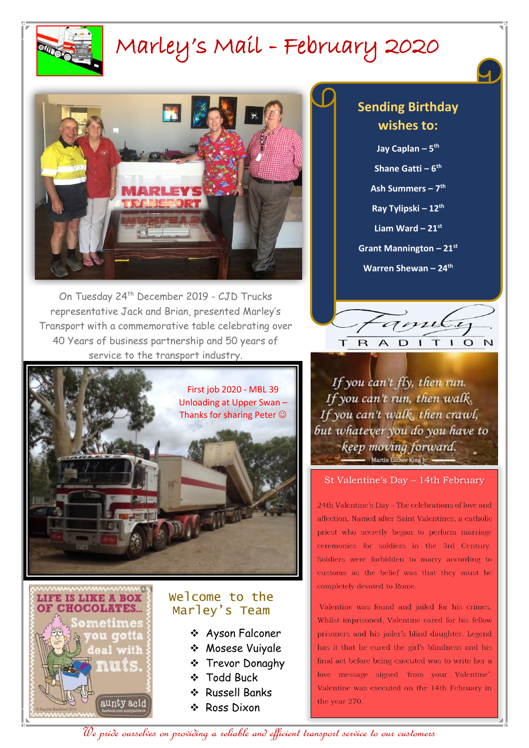

# Marley's Mail - February 2020



On Tuesday 24<sup>th</sup> December 2019 - CJD Trucks representative Jack and Brian, presented Marley's Transport with a commemorative table celebrating over 40 Years of business partnership and 50 years of service to the transport industry.





### Welcome to the Marley's Team

- Ayson Falconer
- Mosese Vuiyale
- **❖** Trevor Donaghy
- **❖** Todd Buck
- Russell Banks
- ❖ Ross Dixon

### **Sending Birthday wishes to:**

**Jay Caplan – 5 th**

**Shane Gatti – 6 th**

**Ash Summers – 7 th**

**Ray Tylipski – 12th**

**Liam Ward – 21st**

**Grant Mannington – 21st**

**Warren Shewan – 24th**



If you can't fly, then run. If you can't run, then walk. If you can't walk, then crawl, but whatever you do you have to keep moving forward. Martin Luther King In

#### St Valentine's Day – 14th February

24th Valentine's Day - The celebrations of love and affection. Named after Saint Valentines, a catholic priest who secretly began to perform marriage ceremonies for soldiers in the 3rd Century. Soldiers were forbidden to marry according to customs as the belief was that they must be completely devoted to Rome.

Valentine was found and jailed for his crimes. Whilst imprisoned, Valentine cared for his fellow prisoners and his jailer's blind daughter. Legend has it that he cured the girl's blindness and his final act before being executed was to write her a love message signed 'from your Valentine'. Valentine was executed on the 14th February in the year 270.

We pride ourselves on providing a reliable and efficient transport service to our customers